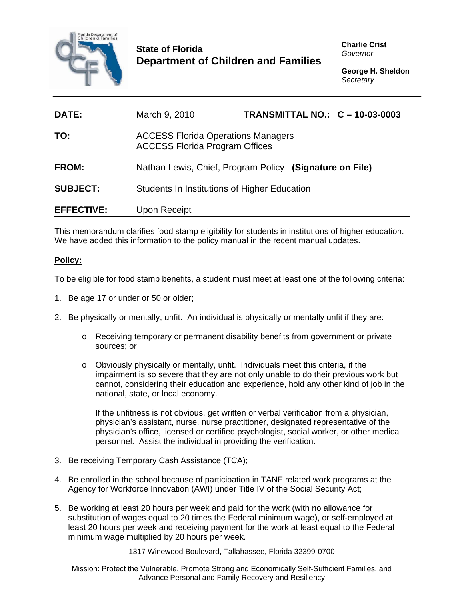

## **State of Florida Department of Children and Families**

**Charlie Crist**  *Governor* 

**George H. Sheldon**  *Secretary* 

| <b>DATE:</b>      | March 9, 2010                                                                      | TRANSMITTAL NO.: C - 10-03-0003 |  |
|-------------------|------------------------------------------------------------------------------------|---------------------------------|--|
| TO:               | <b>ACCESS Florida Operations Managers</b><br><b>ACCESS Florida Program Offices</b> |                                 |  |
| FROM:             | Nathan Lewis, Chief, Program Policy (Signature on File)                            |                                 |  |
| <b>SUBJECT:</b>   | Students In Institutions of Higher Education                                       |                                 |  |
| <b>EFFECTIVE:</b> | <b>Upon Receipt</b>                                                                |                                 |  |

This memorandum clarifies food stamp eligibility for students in institutions of higher education. We have added this information to the policy manual in the recent manual updates.

## **Policy:**

To be eligible for food stamp benefits, a student must meet at least one of the following criteria:

- 1. Be age 17 or under or 50 or older;
- 2. Be physically or mentally, unfit. An individual is physically or mentally unfit if they are:
	- o Receiving temporary or permanent disability benefits from government or private sources; or
	- o Obviously physically or mentally, unfit. Individuals meet this criteria, if the impairment is so severe that they are not only unable to do their previous work but cannot, considering their education and experience, hold any other kind of job in the national, state, or local economy.

If the unfitness is not obvious, get written or verbal verification from a physician, physician's assistant, nurse, nurse practitioner, designated representative of the physician's office, licensed or certified psychologist, social worker, or other medical personnel. Assist the individual in providing the verification.

- 3. Be receiving Temporary Cash Assistance (TCA);
- 4. Be enrolled in the school because of participation in TANF related work programs at the Agency for Workforce Innovation (AWI) under Title IV of the Social Security Act;
- 5. Be working at least 20 hours per week and paid for the work (with no allowance for substitution of wages equal to 20 times the Federal minimum wage), or self-employed at least 20 hours per week and receiving payment for the work at least equal to the Federal minimum wage multiplied by 20 hours per week.

1317 Winewood Boulevard, Tallahassee, Florida 32399-0700